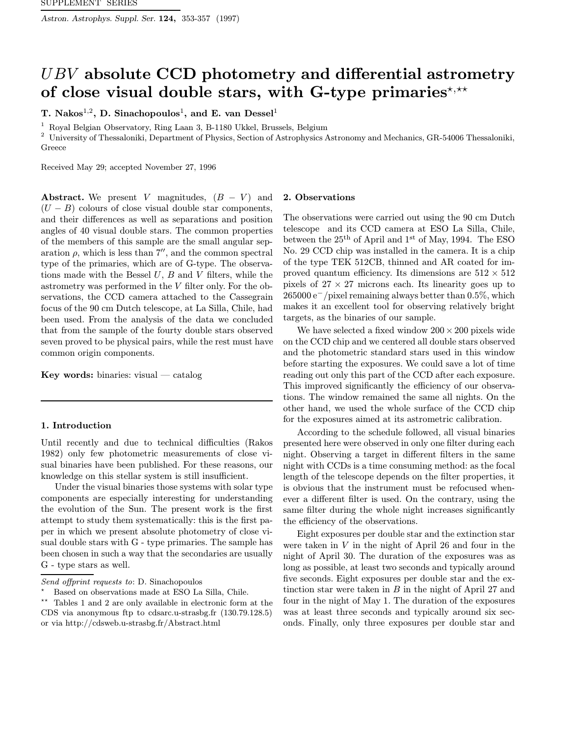Astron. Astrophys. Suppl. Ser. 124, 353-357 (1997)

# UBV absolute CCD photometry and differential astrometry of close visual double stars, with G-type primaries<sup>\*,\*\*</sup>

T. Nakos<sup>1,2</sup>, D. Sinachopoulos<sup>1</sup>, and E. van Dessel<sup>1</sup>

<sup>1</sup> Royal Belgian Observatory, Ring Laan 3, B-1180 Ukkel, Brussels, Belgium

<sup>2</sup> University of Thessaloniki, Department of Physics, Section of Astrophysics Astronomy and Mechanics, GR-54006 Thessaloniki, Greece

Received May 29; accepted November 27, 1996

Abstract. We present V magnitudes,  $(B - V)$  and  $(U - B)$  colours of close visual double star components, and their differences as well as separations and position angles of 40 visual double stars. The common properties of the members of this sample are the small angular separation  $\rho$ , which is less than 7'', and the common spectral type of the primaries, which are of G-type. The observations made with the Bessel  $U, B$  and  $V$  filters, while the astrometry was performed in the V filter only. For the observations, the CCD camera attached to the Cassegrain focus of the 90 cm Dutch telescope, at La Silla, Chile, had been used. From the analysis of the data we concluded that from the sample of the fourty double stars observed seven proved to be physical pairs, while the rest must have common origin components.

**Key words:** binaries: visual  $-$  catalog

## 1. Introduction

Until recently and due to technical difficulties (Rakos 1982) only few photometric measurements of close visual binaries have been published. For these reasons, our knowledge on this stellar system is still insufficient.

Under the visual binaries those systems with solar type components are especially interesting for understanding the evolution of the Sun. The present work is the first attempt to study them systematically: this is the first paper in which we present absolute photometry of close visual double stars with G - type primaries. The sample has been chosen in such a way that the secondaries are usually G - type stars as well.

#### 2. Observations

The observations were carried out using the 90 cm Dutch telescope and its CCD camera at ESO La Silla, Chile, between the  $25<sup>th</sup>$  of April and  $1<sup>st</sup>$  of May, 1994. The ESO No. 29 CCD chip was installed in the camera. It is a chip of the type TEK 512CB, thinned and AR coated for improved quantum efficiency. Its dimensions are  $512 \times 512$ pixels of  $27 \times 27$  microns each. Its linearity goes up to 265000 e<sup>−</sup>/pixel remaining always better than 0.5%, which makes it an excellent tool for observing relatively bright targets, as the binaries of our sample.

We have selected a fixed window  $200 \times 200$  pixels wide on the CCD chip and we centered all double stars observed and the photometric standard stars used in this window before starting the exposures. We could save a lot of time reading out only this part of the CCD after each exposure. This improved significantly the efficiency of our observations. The window remained the same all nights. On the other hand, we used the whole surface of the CCD chip for the exposures aimed at its astrometric calibration.

According to the schedule followed, all visual binaries presented here were observed in only one filter during each night. Observing a target in different filters in the same night with CCDs is a time consuming method: as the focal length of the telescope depends on the filter properties, it is obvious that the instrument must be refocused whenever a different filter is used. On the contrary, using the same filter during the whole night increases significantly the efficiency of the observations.

Eight exposures per double star and the extinction star were taken in  $V$  in the night of April 26 and four in the night of April 30. The duration of the exposures was as long as possible, at least two seconds and typically around five seconds. Eight exposures per double star and the extinction star were taken in  $B$  in the night of April 27 and four in the night of May 1. The duration of the exposures was at least three seconds and typically around six seconds. Finally, only three exposures per double star and

Send offprint requests to: D. Sinachopoulos

<sup>?</sup> Based on observations made at ESO La Silla, Chile.

<sup>\*\*</sup> Tables 1 and 2 are only available in electronic form at the CDS via anonymous ftp to cdsarc.u-strasbg.fr (130.79.128.5) or via http://cdsweb.u-strasbg.fr/Abstract.html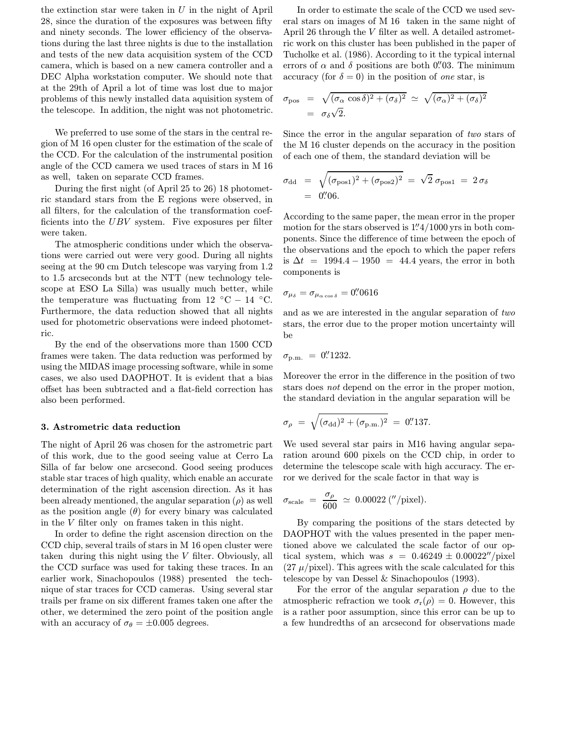the extinction star were taken in  $U$  in the night of April 28, since the duration of the exposures was between fifty and ninety seconds. The lower efficiency of the observations during the last three nights is due to the installation and tests of the new data acquisition system of the CCD camera, which is based on a new camera controller and a DEC Alpha workstation computer. We should note that at the 29th of April a lot of time was lost due to major problems of this newly installed data aquisition system of the telescope. In addition, the night was not photometric.

We preferred to use some of the stars in the central region of M 16 open cluster for the estimation of the scale of the CCD. For the calculation of the instrumental position angle of the CCD camera we used traces of stars in M 16 as well, taken on separate CCD frames.

During the first night (of April 25 to 26) 18 photometric standard stars from the E regions were observed, in all filters, for the calculation of the transformation coefficients into the UBV system. Five exposures per filter were taken.

The atmospheric conditions under which the observations were carried out were very good. During all nights seeing at the 90 cm Dutch telescope was varying from 1.2 to 1.5 arcseconds but at the NTT (new technology telescope at ESO La Silla) was usually much better, while the temperature was fluctuating from 12  $°C - 14$  °C. Furthermore, the data reduction showed that all nights used for photometric observations were indeed photometric.

By the end of the observations more than 1500 CCD frames were taken. The data reduction was performed by using the MIDAS image processing software, while in some cases, we also used DAOPHOT. It is evident that a bias offset has been subtracted and a flat-field correction has also been performed.

#### 3. Astrometric data reduction

The night of April 26 was chosen for the astrometric part of this work, due to the good seeing value at Cerro La Silla of far below one arcsecond. Good seeing produces stable star traces of high quality, which enable an accurate determination of the right ascension direction. As it has been already mentioned, the angular separation  $(\rho)$  as well as the position angle  $(\theta)$  for every binary was calculated in the V filter only on frames taken in this night.

In order to define the right ascension direction on the CCD chip, several trails of stars in M 16 open cluster were taken during this night using the V filter. Obviously, all the CCD surface was used for taking these traces. In an earlier work, Sinachopoulos (1988) presented the technique of star traces for CCD cameras. Using several star trails per frame on six different frames taken one after the other, we determined the zero point of the position angle with an accuracy of  $\sigma_{\theta} = \pm 0.005$  degrees.

In order to estimate the scale of the CCD we used several stars on images of M 16 taken in the same night of April 26 through the V filter as well. A detailed astrometric work on this cluster has been published in the paper of Tucholke et al. (1986). According to it the typical internal errors of  $\alpha$  and  $\delta$  positions are both 0. The minimum accuracy (for  $\delta = 0$ ) in the position of one star, is

$$
\sigma_{\text{pos}} = \sqrt{(\sigma_{\alpha} \cos \delta)^2 + (\sigma_{\delta})^2} \simeq \sqrt{(\sigma_{\alpha})^2 + (\sigma_{\delta})^2}
$$
  
=  $\sigma_{\delta} \sqrt{2}$ .

Since the error in the angular separation of two stars of the M 16 cluster depends on the accuracy in the position of each one of them, the standard deviation will be

$$
\sigma_{\rm dd} = \sqrt{(\sigma_{\rm pos1})^2 + (\sigma_{\rm pos2})^2} = \sqrt{2} \,\sigma_{\rm pos1} = 2 \,\sigma_{\delta}
$$
  
= 0''06.

According to the same paper, the mean error in the proper motion for the stars observed is  $1.^{\prime\prime}4/1000\,\mathrm{yrs}$  in both components. Since the difference of time between the epoch of the observations and the epoch to which the paper refers is  $\Delta t = 1994.4 - 1950 = 44.4$  years, the error in both components is

$$
\sigma_{\mu_{\delta}}=\sigma_{\mu_{\alpha\cos\delta}}=0\rlap.{''}0616
$$

and as we are interested in the angular separation of two stars, the error due to the proper motion uncertainty will be

$$
\sigma_{\rm p.m.} = 0.^{\prime\prime}1232.
$$

Moreover the error in the difference in the position of two stars does not depend on the error in the proper motion, the standard deviation in the angular separation will be

$$
\sigma_{\rho} = \sqrt{(\sigma_{\rm dd})^2 + (\sigma_{\rm p.m.})^2} = 0.^{\prime\prime} 137.
$$

We used several star pairs in M16 having angular separation around 600 pixels on the CCD chip, in order to determine the telescope scale with high accuracy. The error we derived for the scale factor in that way is

$$
\sigma_{\text{scale}} = \frac{\sigma_{\rho}}{600} \, \simeq \, 0.00022 \, \text{(''/pixel)}.
$$

By comparing the positions of the stars detected by DAOPHOT with the values presented in the paper mentioned above we calculated the scale factor of our optical system, which was  $s = 0.46249 \pm 0.00022''/\text{pixel}$  $(27 \mu/\text{pixel})$ . This agrees with the scale calculated for this telescope by van Dessel & Sinachopoulos (1993).

For the error of the angular separation  $\rho$  due to the atmospheric refraction we took  $\sigma_r(\rho) = 0$ . However, this is a rather poor assumption, since this error can be up to a few hundredths of an arcsecond for observations made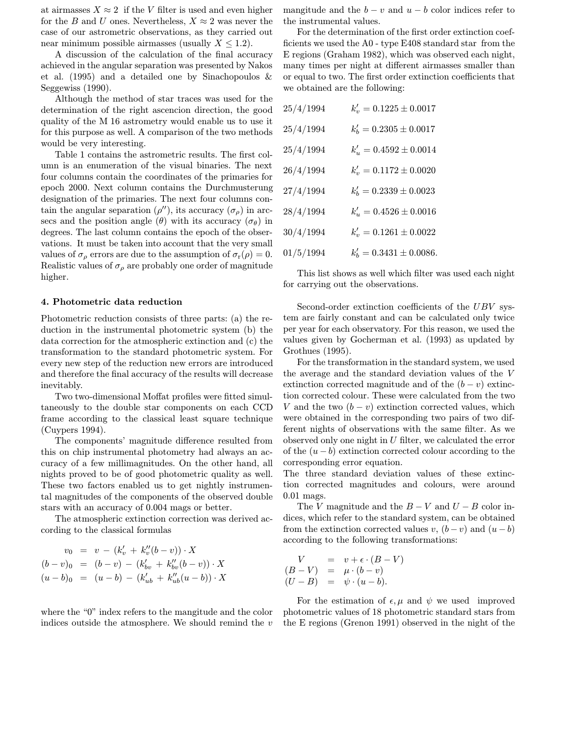at airmasses  $X \approx 2$  if the V filter is used and even higher for the B and U ones. Nevertheless,  $X \approx 2$  was never the case of our astrometric observations, as they carried out near minimum possible airmasses (usually  $X \leq 1.2$ ).

A discussion of the calculation of the final accuracy achieved in the angular separation was presented by Nakos et al. (1995) and a detailed one by Sinachopoulos & Seggewiss (1990).

Although the method of star traces was used for the determination of the right ascencion direction, the good quality of the M 16 astrometry would enable us to use it for this purpose as well. A comparison of the two methods would be very interesting.

Table 1 contains the astrometric results. The first column is an enumeration of the visual binaries. The next four columns contain the coordinates of the primaries for epoch 2000. Next column contains the Durchmusterung designation of the primaries. The next four columns contain the angular separation  $(\rho'')$ , its accuracy  $(\sigma_{\rho})$  in arcsecs and the position angle  $(\theta)$  with its accuracy  $(\sigma_{\theta})$  in degrees. The last column contains the epoch of the observations. It must be taken into account that the very small values of  $\sigma_{\rho}$  errors are due to the assumption of  $\sigma_{\rm r}(\rho) = 0$ . Realistic values of  $\sigma_{\rho}$  are probably one order of magnitude higher.

### 4. Photometric data reduction

Photometric reduction consists of three parts: (a) the reduction in the instrumental photometric system (b) the data correction for the atmospheric extinction and (c) the transformation to the standard photometric system. For every new step of the reduction new errors are introduced and therefore the final accuracy of the results will decrease inevitably.

Two two-dimensional Moffat profiles were fitted simultaneously to the double star components on each CCD frame according to the classical least square technique (Cuypers 1994).

The components' magnitude difference resulted from this on chip instrumental photometry had always an accuracy of a few millimagnitudes. On the other hand, all nights proved to be of good photometric quality as well. These two factors enabled us to get nightly instrumental magnitudes of the components of the observed double stars with an accuracy of 0.004 mags or better.

The atmospheric extinction correction was derived according to the classical formulas

$$
v_0 = v - (k'_v + k''_v(b - v)) \cdot X
$$
  
\n
$$
(b - v)_0 = (b - v) - (k'_{bv} + k''_{bv}(b - v)) \cdot X
$$
  
\n
$$
(u - b)_0 = (u - b) - (k'_{ub} + k''_{ub}(u - b)) \cdot X
$$

where the "0" index refers to the mangitude and the color indices outside the atmosphere. We should remind the  $v$  mangitude and the  $b - v$  and  $u - b$  color indices refer to the instrumental values.

For the determination of the first order extinction coefficients we used the A0 - type E408 standard star from the E regions (Graham 1982), which was observed each night, many times per night at different airmasses smaller than or equal to two. The first order extinction coefficients that we obtained are the following:

| 25/4/1994 | $k'_v = 0.1225 \pm 0.0017$  |
|-----------|-----------------------------|
| 25/4/1994 | $k'_b = 0.2305 \pm 0.0017$  |
| 25/4/1994 | $k'_u = 0.4592 \pm 0.0014$  |
| 26/4/1994 | $k'_v = 0.1172 \pm 0.0020$  |
| 27/4/1994 | $k'_b = 0.2339 \pm 0.0023$  |
| 28/4/1994 | $k'_u = 0.4526 \pm 0.0016$  |
| 30/4/1994 | $k'_v = 0.1261 \pm 0.0022$  |
| 01/5/1994 | $k'_b = 0.3431 \pm 0.0086.$ |

This list shows as well which filter was used each night for carrying out the observations.

Second-order extinction coefficients of the UBV system are fairly constant and can be calculated only twice per year for each observatory. For this reason, we used the values given by Gocherman et al. (1993) as updated by Grothues (1995).

For the transformation in the standard system, we used the average and the standard deviation values of the V extinction corrected magnitude and of the  $(b - v)$  extinction corrected colour. These were calculated from the two V and the two  $(b - v)$  extinction corrected values, which were obtained in the corresponding two pairs of two different nights of observations with the same filter. As we observed only one night in U filter, we calculated the error of the  $(u - b)$  extinction corrected colour according to the corresponding error equation.

The three standard deviation values of these extinction corrected magnitudes and colours, were around 0.01 mags.

The V magnitude and the  $B - V$  and  $U - B$  color indices, which refer to the standard system, can be obtained from the extinction corrected values v,  $(b - v)$  and  $(u - b)$ according to the following transformations:

$$
V = v + \epsilon \cdot (B - V)
$$
  
\n
$$
(B - V) = \mu \cdot (b - v)
$$
  
\n
$$
(U - B) = \psi \cdot (u - b).
$$

For the estimation of  $\epsilon, \mu$  and  $\psi$  we used improved photometric values of 18 photometric standard stars from the E regions (Grenon 1991) observed in the night of the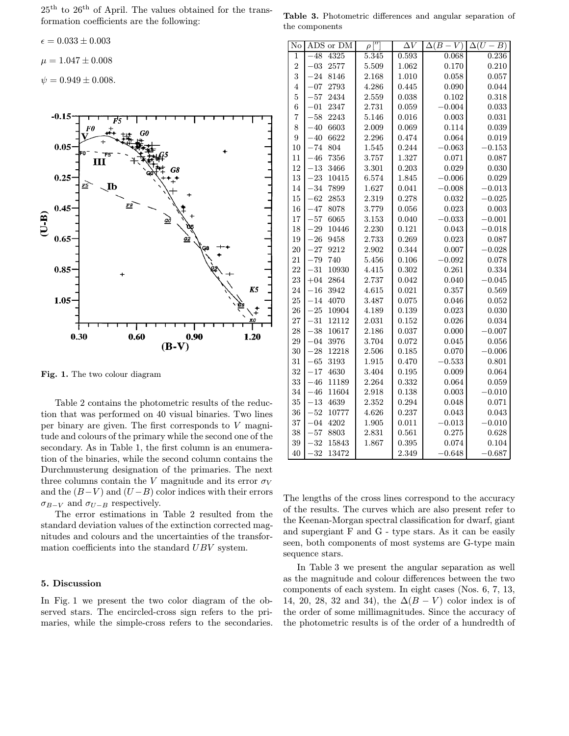25th to 26th of April. The values obtained for the transformation coefficients are the following:

$$
\epsilon = 0.033 \pm 0.003
$$

$$
\mu = 1.047 \pm 0.008
$$

 $\psi = 0.949 \pm 0.008.$ 



Fig. 1. The two colour diagram

Table 2 contains the photometric results of the reduction that was performed on 40 visual binaries. Two lines per binary are given. The first corresponds to V magnitude and colours of the primary while the second one of the secondary. As in Table 1, the first column is an enumeration of the binaries, while the second column contains the Durchmusterung designation of the primaries. The next three columns contain the V magnitude and its error  $\sigma_V$ and the  $(B-V)$  and  $(U-B)$  color indices with their errors  $\sigma_{B-V}$  and  $\sigma_{U-B}$  respectively.

The error estimations in Table 2 resulted from the standard deviation values of the extinction corrected magnitudes and colours and the uncertainties of the transformation coefficients into the standard UBV system.

## 5. Discussion

In Fig. 1 we present the two color diagram of the observed stars. The encircled-cross sign refers to the primaries, while the simple-cross refers to the secondaries.

Table 3. Photometric differences and angular separation of the components

| No               | ADS or DM        | $\rho$             | $\overline{\Delta V}$ | $\Delta(B-V)$ | $\Delta(U)$<br>$-B)$ |
|------------------|------------------|--------------------|-----------------------|---------------|----------------------|
| 1                | 4325<br>$-48$    | $\overline{5.345}$ | 0.593                 | 0.068         | 0.236                |
| $\overline{2}$   | $-03$<br>2577    | 5.509              | 1.062                 | 0.170         | 0.210                |
| 3                | $-24$<br>8146    | 2.168              | 1.010                 | 0.058         | 0.057                |
| $\overline{4}$   | $-07$<br>2793    | 4.286              | 0.445                 | 0.090         | 0.044                |
| $\overline{5}$   | $-57$<br>2434    | 2.559              | 0.038                 | 0.102         | 0.318                |
| $\boldsymbol{6}$ | 2347<br>$-01$    | 2.731              | 0.059                 | $-0.004$      | 0.033                |
| $\overline{7}$   | $-58$<br>2243    | 5.146              | 0.016                 | 0.003         | 0.031                |
| 8                | 6603<br>$-40$    | 2.009              | 0.069                 | 0.114         | 0.039                |
| $\overline{9}$   | $-40$<br>6622    | 2.296              | 0.474                 | 0.064         | 0.019                |
| 10               | $-74$<br>804     | 1.545              | 0.244                 | $-0.063$      | $-0.153$             |
| 11               | $-46$<br>7356    | 3.757              | 1.327                 | 0.071         | 0.087                |
| 12               | $-13$<br>3466    | 3.301              | 0.203                 | 0.029         | 0.030                |
| 13               | $-23$<br>10415   | 6.574              | 1.845                 | $-0.006$      | 0.029                |
| 14               | 7899<br>$-34$    | 1.627              | 0.041                 | $-0.008$      | $-0.013$             |
| 15               | $-62$<br>2853    | 2.319              | 0.278                 | 0.032         | $-0.025$             |
| 16               | $-47$<br>8078    | 3.779              | 0.056                 | 0.023         | 0.003                |
| 17               | $-57$<br>6065    | 3.153              | 0.040                 | $-0.033$      | $-0.001$             |
| 18               | $-29$<br>10446   | 2.230              | 0.121                 | 0.043         | $-0.018$             |
| 19               | $-26$<br>9458    | 2.733              | 0.269                 | 0.023         | 0.087                |
| 20               | $-27$<br>9212    | 2.902              | 0.344                 | 0.007         | $-0.028$             |
| 21               | $-79$<br>740     | 5.456              | 0.106                 | $-0.092$      | 0.078                |
| 22               | $-31$<br>10930   | 4.415              | 0.302                 | 0.261         | 0.334                |
| 23               | $+04$<br>2864    | 2.737              | 0.042                 | 0.040         | $-0.045$             |
| 24               | $-16$<br>3942    | 4.615              | 0.021                 | 0.357         | 0.569                |
| 25               | 4070<br>$-14$    | 3.487              | 0.075                 | 0.046         | 0.052                |
| 26               | $-25$<br>10904   | 4.189              | 0.139                 | 0.023         | 0.030                |
| 27               | $-31$<br>12112   | 2.031              | 0.152                 | 0.026         | 0.034                |
| 28               | $-38$<br>10617   | 2.186              | 0.037                 | 0.000         | $-0.007$             |
| 29               | 3976<br>$-04$    | 3.704              | 0.072                 | 0.045         | 0.056                |
| 30               | 12218<br>$-28$   | 2.506              | 0.185                 | 0.070         | $-0.006$             |
| 31               | $-65$<br>3193    | 1.915              | 0.470                 | $-0.533$      | 0.801                |
| 32               | $-17$<br>4630    | 3.404              | 0.195                 | 0.009         | 0.064                |
| 33               | 11189<br>$-46$   | 2.264              | 0.332                 | 0.064         | 0.059                |
| 34               | $-46$<br>11604   | 2.918              | 0.138                 | 0.003         | $-0.010$             |
| 35               | $^{-13}$<br>4639 | 2.352              | 0.294                 | 0.048         | 0.071                |
| 36               | $-52$<br>10777   | 4.626              | 0.237                 | 0.043         | 0.043                |
| 37               | 4202<br>$-04$    | 1.905              | 0.011                 | $-0.013$      | $-0.010$             |
| 38               | $-57$<br>8803    | 2.831              | 0.561                 | 0.275         | 0.628                |
| 39               | $-32$<br>15843   | 1.867              | 0.395                 | 0.074         | 0.104                |
| 40               | $-32$<br>13472   |                    | 2.349                 | $-0.648$      | $-0.687$             |

The lengths of the cross lines correspond to the accuracy of the results. The curves which are also present refer to the Keenan-Morgan spectral classification for dwarf, giant and supergiant F and G - type stars. As it can be easily seen, both components of most systems are G-type main sequence stars.

In Table 3 we present the angular separation as well as the magnitude and colour differences between the two components of each system. In eight cases (Nos. 6, 7, 13, 14, 20, 28, 32 and 34), the  $\Delta(B - V)$  color index is of the order of some millimagnitudes. Since the accuracy of the photometric results is of the order of a hundredth of